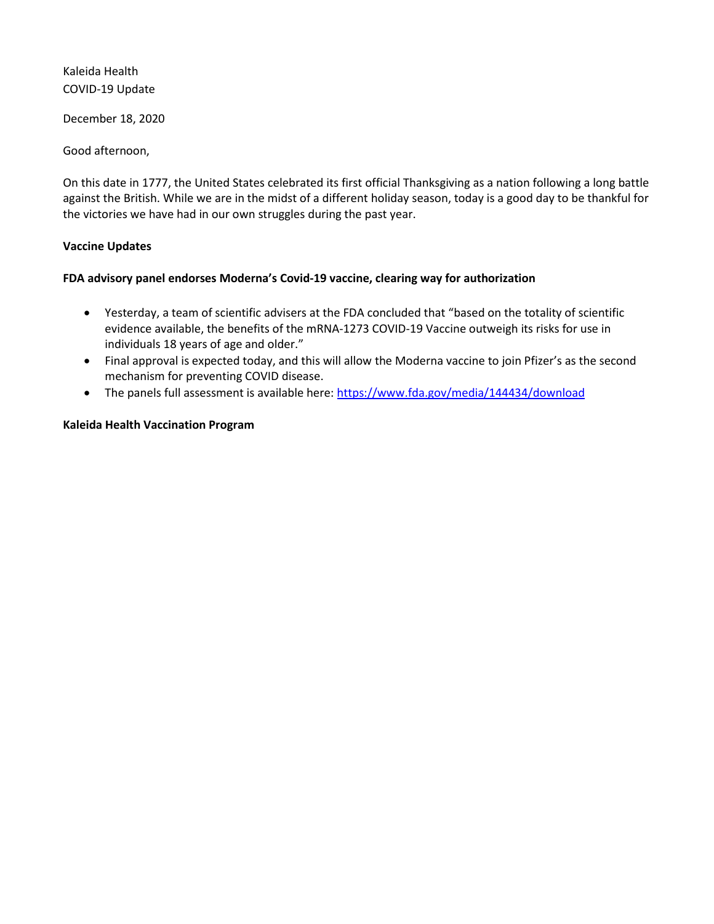Kaleida Health COVID-19 Update

December 18, 2020

Good afternoon,

On this date in 1777, the United States celebrated its first official Thanksgiving as a nation following a long battle against the British. While we are in the midst of a different holiday season, today is a good day to be thankful for the victories we have had in our own struggles during the past year.

### **Vaccine Updates**

### **FDA advisory panel endorses Moderna's Covid-19 vaccine, clearing way for authorization**

- Yesterday, a team of scientific advisers at the FDA concluded that "based on the totality of scientific evidence available, the benefits of the mRNA-1273 COVID-19 Vaccine outweigh its risks for use in individuals 18 years of age and older."
- Final approval is expected today, and this will allow the Moderna vaccine to join Pfizer's as the second mechanism for preventing COVID disease.
- The panels full assessment is available here:<https://www.fda.gov/media/144434/download>

### **Kaleida Health Vaccination Program**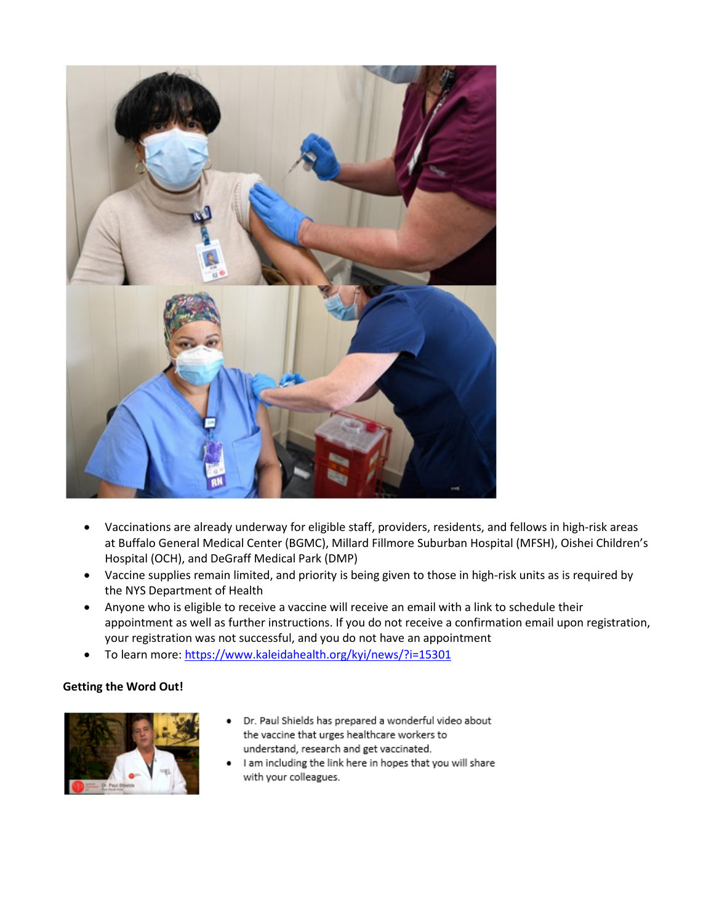

- Vaccinations are already underway for eligible staff, providers, residents, and fellows in high-risk areas at Buffalo General Medical Center (BGMC), Millard Fillmore Suburban Hospital (MFSH), Oishei Children's Hospital (OCH), and DeGraff Medical Park (DMP)
- Vaccine supplies remain limited, and priority is being given to those in high-risk units as is required by the NYS Department of Health
- Anyone who is eligible to receive a vaccine will receive an email with a link to schedule their appointment as well as further instructions. If you do not receive a confirmation email upon registration, your registration was not successful, and you do not have an appointment
- To learn more:<https://www.kaleidahealth.org/kyi/news/?i=15301>

# **Getting the Word Out!**



- Dr. Paul Shields has prepared a wonderful video about the vaccine that urges healthcare workers to understand, research and get vaccinated.
- I am including the link here in hopes that you will share with your colleagues.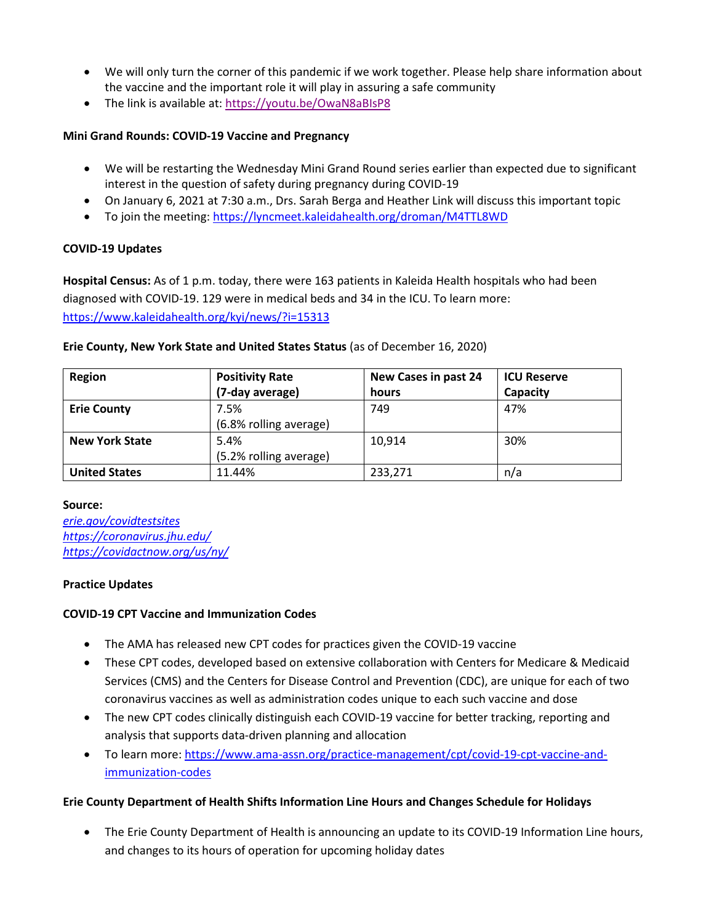- We will only turn the corner of this pandemic if we work together. Please help share information about the vaccine and the important role it will play in assuring a safe community
- The link is available at:<https://youtu.be/OwaN8aBIsP8>

### **Mini Grand Rounds: COVID-19 Vaccine and Pregnancy**

- We will be restarting the Wednesday Mini Grand Round series earlier than expected due to significant interest in the question of safety during pregnancy during COVID-19
- On January 6, 2021 at 7:30 a.m., Drs. Sarah Berga and Heather Link will discuss this important topic
- To join the meeting[: https://lyncmeet.kaleidahealth.org/droman/M4TTL8WD](https://lyncmeet.kaleidahealth.org/droman/M4TTL8WD)

# **COVID-19 Updates**

**Hospital Census:** As of 1 p.m. today, there were 163 patients in Kaleida Health hospitals who had been diagnosed with COVID-19. 129 were in medical beds and 34 in the ICU. To learn more: <https://www.kaleidahealth.org/kyi/news/?i=15313>

### **Erie County, New York State and United States Status** (as of December 16, 2020)

| Region                | <b>Positivity Rate</b> | New Cases in past 24 | <b>ICU Reserve</b> |
|-----------------------|------------------------|----------------------|--------------------|
|                       | (7-day average)        | hours                | Capacity           |
| <b>Erie County</b>    | 7.5%                   | 749                  | 47%                |
|                       | (6.8% rolling average) |                      |                    |
| <b>New York State</b> | 5.4%                   | 10.914               | 30%                |
|                       | (5.2% rolling average) |                      |                    |
| <b>United States</b>  | 11.44%                 | 233,271              | n/a                |

### **Source:**

*[erie.gov/covidtestsites](https://erieny.maps.arcgis.com/apps/webappviewer/index.html?id=0c46f6677fbd49f5b8cf7548e8efe58b) <https://coronavirus.jhu.edu/> <https://covidactnow.org/us/ny/>*

# **Practice Updates**

# **COVID-19 CPT Vaccine and Immunization Codes**

- The AMA has released new CPT codes for practices given the COVID-19 vaccine
- These CPT codes, developed based on extensive collaboration with Centers for Medicare & Medicaid Services (CMS) and the Centers for Disease Control and Prevention (CDC), are unique for each of two coronavirus vaccines as well as administration codes unique to each such vaccine and dose
- The new CPT codes clinically distinguish each COVID-19 vaccine for better tracking, reporting and analysis that supports data-driven planning and allocation
- To learn more: [https://www.ama-assn.org/practice-management/cpt/covid-19-cpt-vaccine-and](https://www.ama-assn.org/practice-management/cpt/covid-19-cpt-vaccine-and-immunization-codes)[immunization-codes](https://www.ama-assn.org/practice-management/cpt/covid-19-cpt-vaccine-and-immunization-codes)

### **Erie County Department of Health Shifts Information Line Hours and Changes Schedule for Holidays**

• The Erie County Department of Health is announcing an update to its COVID-19 Information Line hours, and changes to its hours of operation for upcoming holiday dates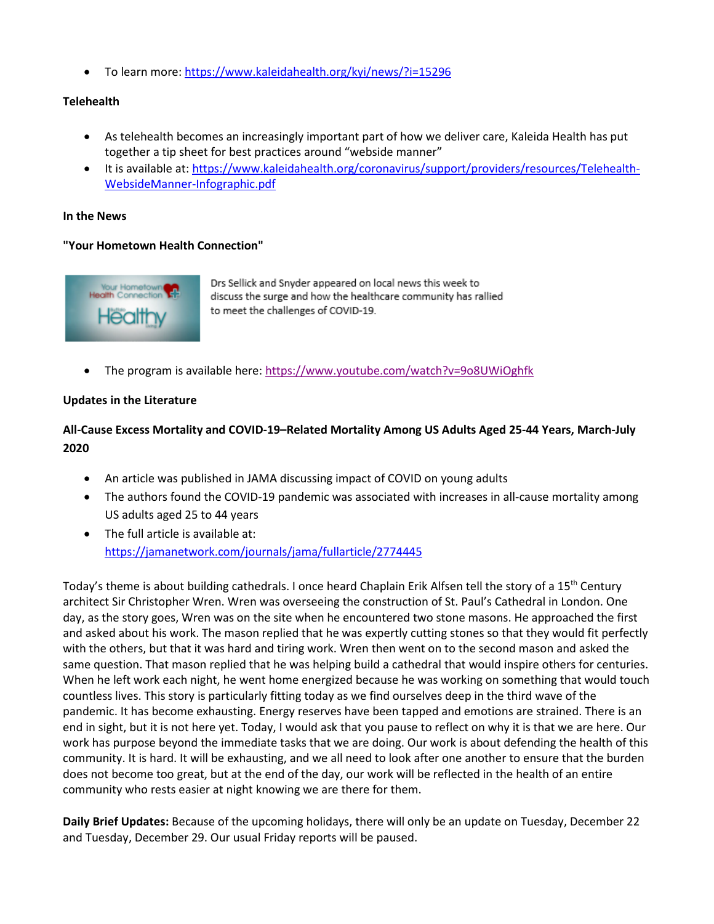• To learn more:<https://www.kaleidahealth.org/kyi/news/?i=15296>

### **Telehealth**

- As telehealth becomes an increasingly important part of how we deliver care, Kaleida Health has put together a tip sheet for best practices around "webside manner"
- It is available at[: https://www.kaleidahealth.org/coronavirus/support/providers/resources/Telehealth-](https://www.kaleidahealth.org/coronavirus/support/providers/resources/Telehealth-WebsideManner-Infographic.pdf)[WebsideManner-Infographic.pdf](https://www.kaleidahealth.org/coronavirus/support/providers/resources/Telehealth-WebsideManner-Infographic.pdf)

#### **In the News**

### **"Your Hometown Health Connection"**



Drs Sellick and Snyder appeared on local news this week to discuss the surge and how the healthcare community has rallied to meet the challenges of COVID-19.

• The program is available here[: https://www.youtube.com/watch?v=9o8UWiOghfk](https://www.youtube.com/watch?v=9o8UWiOghfk) 

### **Updates in the Literature**

# **All-Cause Excess Mortality and COVID-19–Related Mortality Among US Adults Aged 25-44 Years, March-July 2020**

- An article was published in JAMA discussing impact of COVID on young adults
- The authors found the COVID-19 pandemic was associated with increases in all-cause mortality among US adults aged 25 to 44 years
- The full article is available at: <https://jamanetwork.com/journals/jama/fullarticle/2774445>

Today's theme is about building cathedrals. I once heard Chaplain Erik Alfsen tell the story of a 15<sup>th</sup> Century architect Sir Christopher Wren. Wren was overseeing the construction of St. Paul's Cathedral in London. One day, as the story goes, Wren was on the site when he encountered two stone masons. He approached the first and asked about his work. The mason replied that he was expertly cutting stones so that they would fit perfectly with the others, but that it was hard and tiring work. Wren then went on to the second mason and asked the same question. That mason replied that he was helping build a cathedral that would inspire others for centuries. When he left work each night, he went home energized because he was working on something that would touch countless lives. This story is particularly fitting today as we find ourselves deep in the third wave of the pandemic. It has become exhausting. Energy reserves have been tapped and emotions are strained. There is an end in sight, but it is not here yet. Today, I would ask that you pause to reflect on why it is that we are here. Our work has purpose beyond the immediate tasks that we are doing. Our work is about defending the health of this community. It is hard. It will be exhausting, and we all need to look after one another to ensure that the burden does not become too great, but at the end of the day, our work will be reflected in the health of an entire community who rests easier at night knowing we are there for them.

**Daily Brief Updates:** Because of the upcoming holidays, there will only be an update on Tuesday, December 22 and Tuesday, December 29. Our usual Friday reports will be paused.